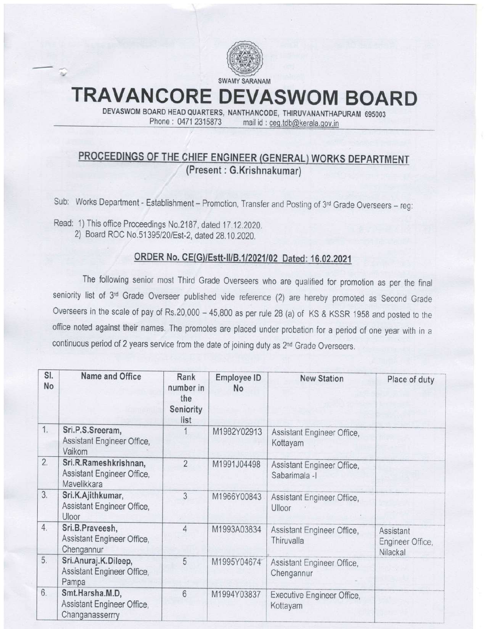

# TRAVANCORE DEVASWOM BOARD

DEVASWOM BOARD HEAD QUARTERS, NANTHANCODE, THIRUVANANTHAPURAM 695003 Phone: 0471 2315873 mail id: ceg.tdb@kerala.gov.in

## PROCEEDINGS OF THE CHIEF ENGINEER (GENERAL) WORKS DEPARTMENT (Present : G,Krishnakumar)

Sub: Works Department - Establishment - Promotion, Transfer and Posting of 3<sup>rd</sup> Grade Overseers - reg:

Read: 1) This office Proceedings No.2187, dated 17.12.2020. 2) Board ROC No.51395/20/Est-2, dated 28.10.2020.

## ORDER No. CE(G)/Estt-II/B.1/2021/02 Dated: 16.02.2021

The following senior most Third Grade Overseers who are qualified for promotion as per the final seniority list of 3rd Grade Overseer published vide reference (2) are hereby promoted as Second Grade Overseers in the scale of pay of Rs.20,000 - 45,800 as per rule 28 (a) of KS & KSSR 1958 and posted to the office noted against their names. The promotes are placed under probation for a period of one year with in a continuous period of 2 years service from the date of joining duty as 2<sup>nd</sup> Grade Overseers.

| SI.<br>No | Name and Office                                                    | Rank<br>number in<br>the<br>Seniority<br>list | Employee ID<br><b>No</b> | <b>New Station</b>                           | Place of duty                             |
|-----------|--------------------------------------------------------------------|-----------------------------------------------|--------------------------|----------------------------------------------|-------------------------------------------|
| 1.        | Sri.P.S.Sreeram,<br>Assistant Engineer Office,<br>Vaikom           |                                               | M1982Y02913              | Assistant Engineer Office,<br>Kottayam       |                                           |
| 2.        | Sri.R.Rameshkrishnan,<br>Assistant Engineer Office,<br>Mavelikkara | $\overline{2}$                                | M1991J04498              | Assistant Engineer Office,<br>Sabarimala - I |                                           |
| 3.        | Sri.K.Ajithkumar,<br>Assistant Engineer Office,<br>Uloor           | 3                                             | M1966Y00843              | Assistant Engineer Office,<br>Ulloor         |                                           |
| 4.        | Sri.B.Praveesh,<br>Assistant Engineer Office,<br>Chengannur        | 4                                             | M1993A03834              | Assistant Engineer Office,<br>Thiruvalla     | Assistant<br>Engineer Office,<br>Nilackal |
| 5.        | Sri.Anuraj.K.Dileep,<br>Assistant Engineer Office,<br>Pampa        | 5                                             | M1995Y04674              | Assistant Engineer Office,<br>Chengannur     |                                           |
| 6.        | Smt.Harsha.M.D,<br>Assistant Engineer Office,<br>Changanasserrry   | 6                                             | M1994Y03837              | Executive Engineer Office,<br>Kottayam       |                                           |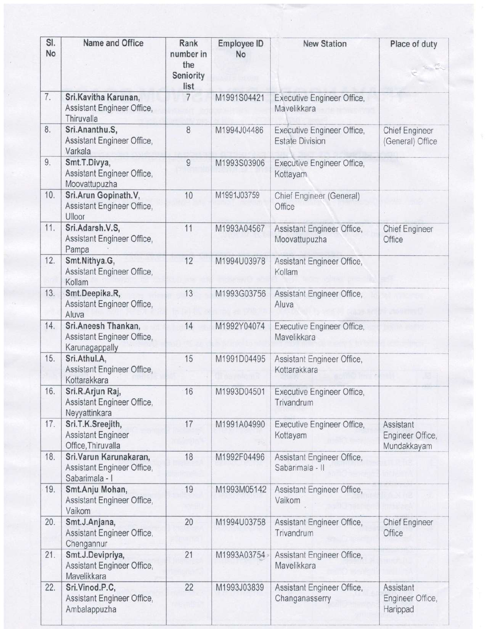| SI.<br>No | Name and Office                                                         | Rank<br>number in<br>the<br>Seniority<br>list | <b>Employee ID</b><br>No | <b>New Station</b>                                   | Place of duty                                |
|-----------|-------------------------------------------------------------------------|-----------------------------------------------|--------------------------|------------------------------------------------------|----------------------------------------------|
| 7.        | Sri.Kavitha Karunan,<br>Assistant Engineer Office,<br>Thiruvalla        | $7\overline{ }$                               | M1991S04421              | <b>Executive Engineer Office,</b><br>Mavelikkara     |                                              |
| 8.        | Sri.Ananthu.S,<br>Assistant Engineer Office,<br>Varkala                 | 8                                             | M1994J04486              | Executive Engineer Office,<br><b>Estate Division</b> | <b>Chief Engineer</b><br>(General) Office    |
| 9.        | Smt.T.Divya,<br>Assistant Engineer Office,<br>Moovattupuzha             | 9                                             | M1993S03906              | Executive Engineer Office,<br>Kottayam               |                                              |
| 10.       | Sri.Arun Gopinath.V,<br>Assistant Engineer Office,<br>Ulloor            | 10                                            | M1991J03759              | Chief Engineer (General)<br>Office                   |                                              |
| 11.       | Sri.Adarsh.V.S,<br>Assistant Engineer Office,<br>Pampa                  | 11                                            | M1993A04567              | Assistant Engineer Office,<br>Moovattupuzha          | <b>Chief Engineer</b><br>Office              |
| 12.       | Smt.Nithya.G,<br>Assistant Engineer Office,<br>Kollam                   | 12                                            | M1994U03978              | Assistant Engineer Office,<br>Kollam                 |                                              |
| 13.       | Smt.Deepika.R,<br>Assistant Engineer Office,<br>Aluva                   | 13                                            | M1993G03756              | Assistant Engineer Office,<br>Aluva                  |                                              |
| 14.       | Sri.Aneesh Thankan,<br>Assistant Engineer Office,<br>Karunagappally     | 14                                            | M1992Y04074              | Executive Engineer Office,<br>Mavelikkara            |                                              |
| 15.       | Sri.Athul.A,<br>Assistant Engineer Office,<br>Kottarakkara              | 15                                            | M1991D04495              | Assistant Engineer Office,<br>Kottarakkara           |                                              |
| 16.       | Sri.R.Arjun Raj,<br>Assistant Engineer Office,<br>Neyyattinkara         | 16                                            | M1993D04501              | <b>Executive Engineer Office,</b><br>Trivandrum      |                                              |
| 17.       | Sri.T.K.Sreejith,<br><b>Assistant Engineer</b><br>Office, Thiruvalla    | 17                                            | M1991A04990              | Executive Engineer Office,<br>Kottayam               | Assistant<br>Engineer Office,<br>Mundakkayam |
| 18.       | Sri. Varun Karunakaran,<br>Assistant Engineer Office,<br>Sabarimala - I | 18                                            | M1992F04496              | Assistant Engineer Office,<br>Sabarimala - II        |                                              |
| 19.       | Smt.Anju Mohan,<br>Assistant Engineer Office,<br>Vaikom                 | 19                                            | M1993M05142              | Assistant Engineer Office,<br>Vaikom                 |                                              |
| 20.       | Smt.J.Anjana,<br>Assistant Engineer Office,<br>Chengannur               | 20                                            | M1994U03758              | Assistant Engineer Office,<br>Trivandrum             | <b>Chief Engineer</b><br>Office              |
| 21.       | Smt.J.Devipriya,<br>Assistant Engineer Office,<br>Mavelikkara           | 21                                            | M1993A03754              | Assistant Engineer Office,<br>Mavelikkara            |                                              |
| 22.       | Sri.Vinod.P.C,<br>Assistant Engineer Office,<br>Ambalappuzha            | 22                                            | M1993J03839              | Assistant Engineer Office,<br>Changanasserry         | Assistant<br>Engineer Office,<br>Harippad    |